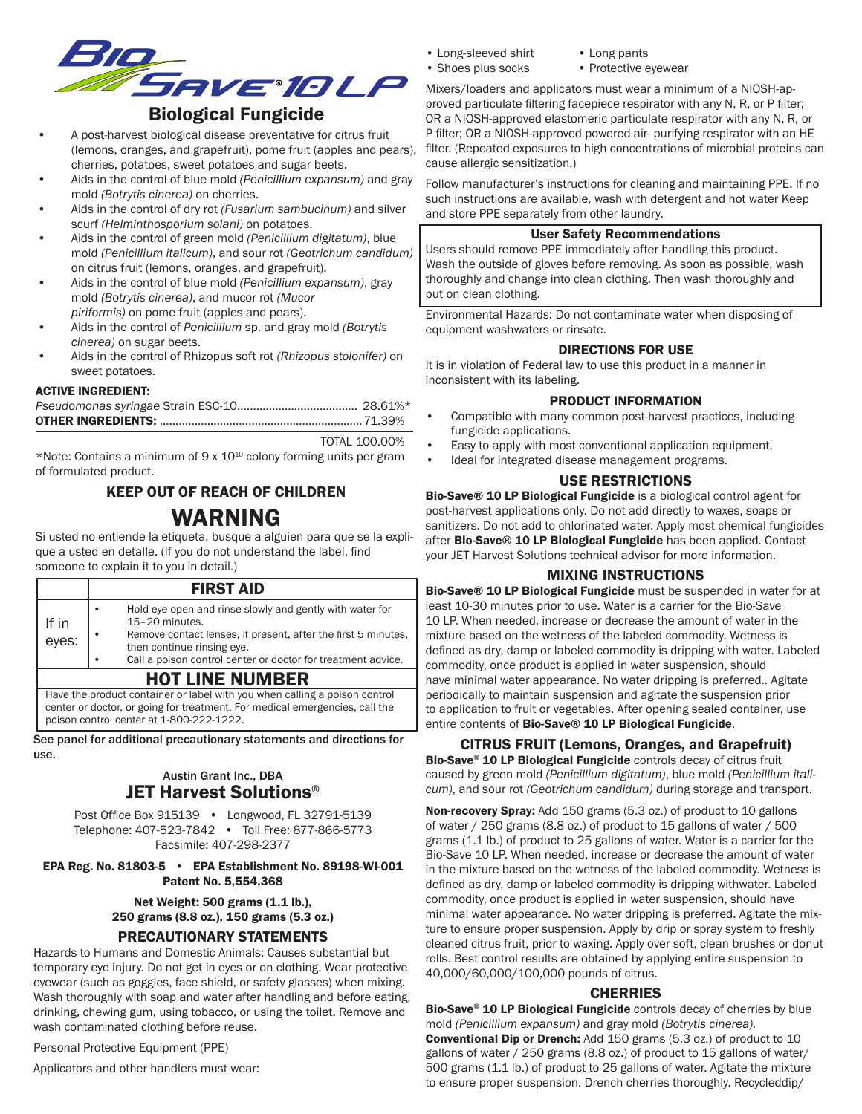

- A post-harvest biological disease preventative for citrus fruit (lemons, oranges, and grapefruit), pome fruit (apples and pears), cherries, potatoes, sweet potatoes and sugar beets.
- Aids in the control of blue mold *(Penicillium expansum)* and gray mold *(Botrytis cinerea)* on cherries.
- Aids in the control of dry rot *(Fusarium sambucinum)* and silver scurf *(Helminthosporium solani)* on potatoes.
- Aids in the control of green mold *(Penicillium digitatum)*, blue mold *(Penicillium italicum)*, and sour rot *(Geotrichum candidum)* on citrus fruit (lemons, oranges, and grapefruit).
- Aids in the control of blue mold *(Penicillium expansum)*, gray mold *(Botrytis cinerea)*, and mucor rot *(Mucor piriformis)* on pome fruit (apples and pears).
- Aids in the control of *Penicillium* sp. and gray mold *(Botrytis cinerea)* on sugar beets.
- Aids in the control of Rhizopus soft rot *(Rhizopus stolonifer)* on sweet potatoes.

#### ACTIVE INGREDIENT:

TOTAL 100.00%

\*Note: Contains a minimum of 9 x  $10^{10}$  colony forming units per gram of formulated product.

# KEEP OUT OF REACH OF CHILDREN WARNING

Si usted no entiende la etiqueta, busque a alguien para que se la explique a usted en detalle. (If you do not understand the label, find someone to explain it to you in detail.)

# FIRST AID

|                |  | Call a poison control center or doctor for treatment advice.  |  |
|----------------|--|---------------------------------------------------------------|--|
| If in<br>eyes: |  | then continue rinsing eye.                                    |  |
|                |  | Remove contact lenses, if present, after the first 5 minutes, |  |
|                |  | 15-20 minutes.                                                |  |
|                |  | Hold eve open and rinse slowly and gently with water for      |  |
|                |  |                                                               |  |

# HOT LINE NUMBER

Have the product container or label with you when calling a poison control center or doctor, or going for treatment. For medical emergencies, call the poison control center at 1-800-222-1222.

See panel for additional precautionary statements and directions for use.

# Austin Grant Inc., DBA JET Harvest Solutions®

Post Office Box 915139 • Longwood, FL 32791-5139 Telephone: 407-523-7842 • Toll Free: 877-866-5773 Facsimile: 407-298-2377

#### EPA Reg. No. 81803-5 • EPA Establishment No. 89198-WI-001 Patent No. 5,554,368

# Net Weight: 500 grams (1.1 lb.), 250 grams (8.8 oz.), 150 grams (5.3 oz.)

# PRECAUTIONARY STATEMENTS

Hazards to Humans and Domestic Animals: Causes substantial but temporary eye injury. Do not get in eyes or on clothing. Wear protective eyewear (such as goggles, face shield, or safety glasses) when mixing. Wash thoroughly with soap and water after handling and before eating, drinking, chewing gum, using tobacco, or using the toilet. Remove and wash contaminated clothing before reuse.

Personal Protective Equipment (PPE)

Applicators and other handlers must wear:

- Long-sleeved shirt Long pants<br>• Shoes plus socks Protective e
	- -
		- Protective eyewear

Mixers/loaders and applicators must wear a minimum of a NIOSH-approved particulate filtering facepiece respirator with any N, R, or P filter; OR a NIOSH-approved elastomeric particulate respirator with any N, R, or P filter; OR a NIOSH-approved powered air- purifying respirator with an HE filter. (Repeated exposures to high concentrations of microbial proteins can cause allergic sensitization.)

Follow manufacturer's instructions for cleaning and maintaining PPE. If no such instructions are available, wash with detergent and hot water Keep and store PPE separately from other laundry.

#### User Safety Recommendations

Users should remove PPE immediately after handling this product. Wash the outside of gloves before removing. As soon as possible, wash thoroughly and change into clean clothing. Then wash thoroughly and put on clean clothing.

Environmental Hazards: Do not contaminate water when disposing of equipment washwaters or rinsate.

#### DIRECTIONS FOR USE

It is in violation of Federal law to use this product in a manner in inconsistent with its labeling.

#### PRODUCT INFORMATION

- Compatible with many common post-harvest practices, including fungicide applications.
- Easy to apply with most conventional application equipment.
- Ideal for integrated disease management programs.

# USE RESTRICTIONS

Bio-Save® 10 LP Biological Fungicide is a biological control agent for post-harvest applications only. Do not add directly to waxes, soaps or sanitizers. Do not add to chlorinated water. Apply most chemical fungicides after Bio-Save® 10 LP Biological Fungicide has been applied. Contact your JET Harvest Solutions technical advisor for more information.

## MIXING INSTRUCTIONS

Bio-Save® 10 LP Biological Fungicide must be suspended in water for at least 10-30 minutes prior to use. Water is a carrier for the Bio-Save 10 LP. When needed, increase or decrease the amount of water in the mixture based on the wetness of the labeled commodity. Wetness is defined as dry, damp or labeled commodity is dripping with water. Labeled commodity, once product is applied in water suspension, should have minimal water appearance. No water dripping is preferred.. Agitate periodically to maintain suspension and agitate the suspension prior to application to fruit or vegetables. After opening sealed container, use entire contents of Bio-Save® 10 LP Biological Fungicide.

CITRUS FRUIT (Lemons, Oranges, and Grapefruit)

Bio-Save® 10 LP Biological Fungicide controls decay of citrus fruit caused by green mold *(Penicillium digitatum)*, blue mold *(Penicillium italicum)*, and sour rot *(Geotrichum candidum)* during storage and transport.

Non-recovery Spray: Add 150 grams (5.3 oz.) of product to 10 gallons of water / 250 grams (8.8 oz.) of product to 15 gallons of water / 500 grams (1.1 lb.) of product to 25 gallons of water. Water is a carrier for the Bio-Save 10 LP. When needed, increase or decrease the amount of water in the mixture based on the wetness of the labeled commodity. Wetness is defined as dry, damp or labeled commodity is dripping withwater. Labeled commodity, once product is applied in water suspension, should have minimal water appearance. No water dripping is preferred. Agitate the mixture to ensure proper suspension. Apply by drip or spray system to freshly cleaned citrus fruit, prior to waxing. Apply over soft, clean brushes or donut rolls. Best control results are obtained by applying entire suspension to 40,000/60,000/100,000 pounds of citrus.

## **CHERRIES**

Bio-Save® 10 LP Biological Fungicide controls decay of cherries by blue mold *(Penicillium expansum)* and gray mold *(Botrytis cinerea).*  Conventional Dip or Drench: Add 150 grams (5.3 oz.) of product to 10 gallons of water / 250 grams (8.8 oz.) of product to 15 gallons of water/ 500 grams (1.1 lb.) of product to 25 gallons of water. Agitate the mixture to ensure proper suspension. Drench cherries thoroughly. Recycleddip/